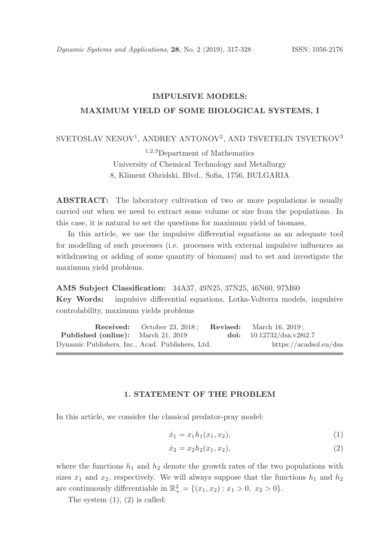## IMPULSIVE MODELS:

## MAXIMUM YIELD OF SOME BIOLOGICAL SYSTEMS, I

## ${\rm SVETOSL}$  NENOV $^1,$  ANDREY ANTONOV $^2,$  AND TSVETELIN TSVETKOV  $^3$

<sup>1</sup>,2,<sup>3</sup>Department of Mathematics University of Chemical Technology and Metallurgy 8, Kliment Ohridski, Blvd., Sofia, 1756, BULGARIA

ABSTRACT: The laboratory cultivation of two or more populations is usually carried out when we need to extract some volume or size from the populations. In this case, it is natural to set the questions for maximum yield of biomass.

In this article, we use the impulsive differential equations as an adequate tool for modelling of such processes (i.e. processes with external impulsive influences as withdrawing or adding of some quantity of biomass) and to set and investigate the maximum yield problems.

AMS Subject Classification: 34A37, 49N25, 37N25, 46N60, 97M60 Key Words: impulsive differential equations, Lotka-Volterra models, impulsive controlability, maximum yields problems

**Received:** October 23, 2018; **Revised:** March 16, 2019; Published (online): March 21, 2019 doi: 10.12732/dsa.v28i2.7 Dynamic Publishers, Inc., Acad. Publishers, Ltd. https://acadsol.eu/dsa

### 1. STATEMENT OF THE PROBLEM

In this article, we consider the classical predator-pray model:

$$
\dot{x}_1 = x_1 h_1(x_1, x_2),\tag{1}
$$

$$
\dot{x}_2 = x_2 h_2(x_1, x_2),\tag{2}
$$

where the functions  $h_1$  and  $h_2$  denote the growth rates of the two populations with sizes  $x_1$  and  $x_2$ , respectively. We will always suppose that the functions  $h_1$  and  $h_2$ are continuously differentiable in  $\mathbb{R}^2_+ = \{(x_1, x_2) : x_1 > 0, x_2 > 0\}.$ 

The system  $(1)$ ,  $(2)$  is called: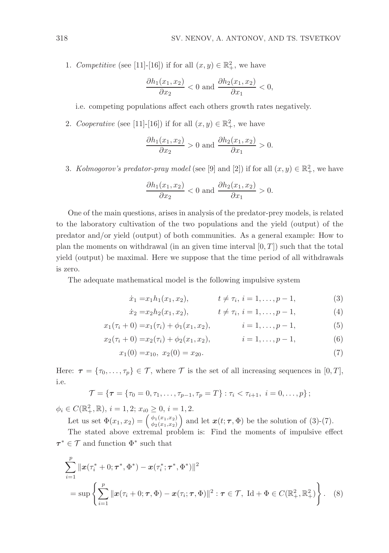1. Competitive (see [11]-[16]) if for all  $(x, y) \in \mathbb{R}^2_+$ , we have

$$
\frac{\partial h_1(x_1, x_2)}{\partial x_2} < 0 \text{ and } \frac{\partial h_2(x_1, x_2)}{\partial x_1} < 0,
$$

i.e. competing populations affect each others growth rates negatively.

2. Cooperative (see [11]-[16]) if for all  $(x, y) \in \mathbb{R}^2_+$ , we have

$$
\frac{\partial h_1(x_1, x_2)}{\partial x_2} > 0 \text{ and } \frac{\partial h_2(x_1, x_2)}{\partial x_1} > 0.
$$

3. Kolmogorov's predator-pray model (see [9] and [2]) if for all  $(x, y) \in \mathbb{R}^2_+$ , we have

$$
\frac{\partial h_1(x_1, x_2)}{\partial x_2} < 0 \text{ and } \frac{\partial h_2(x_1, x_2)}{\partial x_1} > 0.
$$

One of the main questions, arises in analysis of the predator-prey models, is related to the laboratory cultivation of the two populations and the yield (output) of the predator and/or yield (output) of both communities. As a general example: How to plan the moments on withdrawal (in an given time interval  $[0, T]$ ) such that the total yield (output) be maximal. Here we suppose that the time period of all withdrawals is zero.

The adequate mathematical model is the following impulsive system

$$
\dot{x}_1 = x_1 h_1(x_1, x_2), \qquad t \neq \tau_i, \ i = 1, \dots, p-1,
$$
 (3)

$$
\dot{x}_2 = x_2 h_2(x_1, x_2), \qquad t \neq \tau_i, \, i = 1, \dots, p-1,\tag{4}
$$

$$
x_1(\tau_i + 0) = x_1(\tau_i) + \phi_1(x_1, x_2), \qquad i = 1, \ldots, p-1,
$$
 (5)

$$
x_2(\tau_i + 0) = x_2(\tau_i) + \phi_2(x_1, x_2), \qquad i = 1, \dots, p-1,
$$
 (6)

$$
x_1(0) = x_{10}, \ x_2(0) = x_{20}.\tag{7}
$$

Here:  $\tau = {\tau_0, \ldots, \tau_p} \in \mathcal{T}$ , where  $\mathcal{T}$  is the set of all increasing sequences in [0, T], i.e.

$$
\mathcal{T} = \{ \tau = \{ \tau_0 = 0, \tau_1, \ldots, \tau_{p-1}, \tau_p = T \} : \tau_i < \tau_{i+1}, \ i = 0, \ldots, p \};
$$

 $\phi_i \in C(\mathbb{R}_+^2, \mathbb{R}), i = 1, 2; x_{i0} \geq 0, i = 1, 2.$ 

Let us set  $\Phi(x_1, x_2) = \begin{pmatrix} \phi_1(x_1, x_2) \\ \phi_2(x_1, x_2) \end{pmatrix}$  $\begin{pmatrix} \phi_1(x_1,x_2) \\ \phi_2(x_1,x_2) \end{pmatrix}$  and let  $\mathbf{x}(t;\tau,\Phi)$  be the solution of (3)-(7).

The stated above extremal problem is: Find the moments of impulsive effect  $\tau^* \in \mathcal{T}$  and function  $\Phi^*$  such that

$$
\sum_{i=1}^{p} ||x(\tau_i^* + 0; \tau^*, \Phi^*) - x(\tau_i^*; \tau^*, \Phi^*)||^2
$$
  
=  $\sup \left\{ \sum_{i=1}^{p} ||x(\tau_i + 0; \tau, \Phi) - x(\tau_i; \tau, \Phi)||^2 : \tau \in \mathcal{T}, \ \mathrm{Id} + \Phi \in C(\mathbb{R}^2_+, \mathbb{R}^2_+) \right\}.$  (8)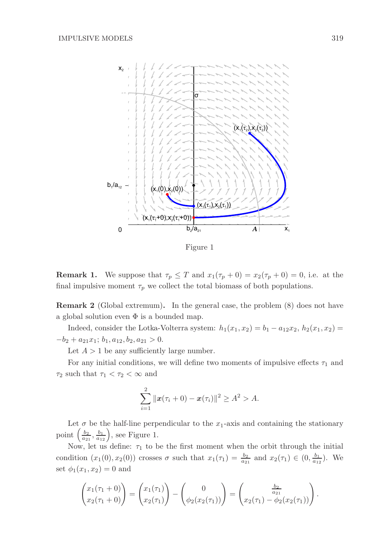

Figure 1

**Remark 1.** We suppose that  $\tau_p \leq T$  and  $x_1(\tau_p + 0) = x_2(\tau_p + 0) = 0$ , i.e. at the final impulsive moment  $\tau_p$  we collect the total biomass of both populations.

Remark 2 (Global extremum). In the general case, the problem (8) does not have a global solution even  $\Phi$  is a bounded map.

Indeed, consider the Lotka-Volterra system:  $h_1(x_1, x_2) = b_1 - a_{12}x_2, h_2(x_1, x_2) =$  $-b_2 + a_{21}x_1; b_1, a_{12}, b_2, a_{21} > 0.$ 

Let  $A > 1$  be any sufficiently large number.

For any initial conditions, we will define two moments of impulsive effects  $\tau_1$  and  $\tau_2$  such that  $\tau_1 < \tau_2 < \infty$  and

$$
\sum_{i=1}^{2} ||\boldsymbol{x}(\tau_i + 0) - \boldsymbol{x}(\tau_i)||^2 \geq A^2 > A.
$$

Let  $\sigma$  be the half-line perpendicular to the  $x_1$ -axis and containing the stationary point  $\left(\frac{b_2}{a_{21}}, \frac{b_1}{a_{12}}\right)$ , see Figure 1.

Now, let us define:  $\tau_1$  to be the first moment when the orbit through the initial condition  $(x_1(0), x_2(0))$  crosses  $\sigma$  such that  $x_1(\tau_1) = \frac{b_2}{a_{21}}$  and  $x_2(\tau_1) \in (0, \frac{b_1}{a_{12}})$ . We set  $\phi_1(x_1, x_2) = 0$  and

$$
\begin{pmatrix} x_1(\tau_1 + 0) \\ x_2(\tau_1 + 0) \end{pmatrix} = \begin{pmatrix} x_1(\tau_1) \\ x_2(\tau_1) \end{pmatrix} - \begin{pmatrix} 0 \\ \phi_2(x_2(\tau_1)) \end{pmatrix} = \begin{pmatrix} \frac{b_2}{a_{21}} \\ x_2(\tau_1) - \phi_2(x_2(\tau_1)) \end{pmatrix}.
$$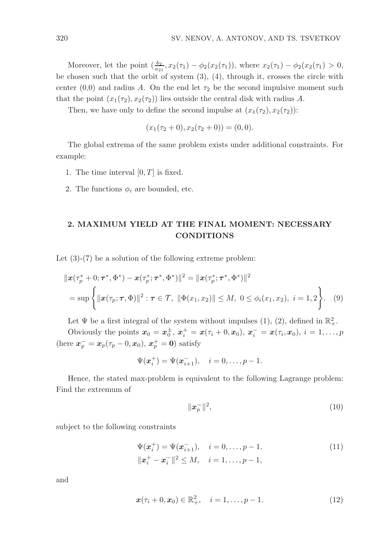Moreover, let the point  $(\frac{b_2}{a_{21}}, x_2(\tau_1) - \phi_2(x_2(\tau_1)),$  where  $x_2(\tau_1) - \phi_2(x_2(\tau_1) > 0,$ be chosen such that the orbit of system (3), (4), through it, crosses the circle with center (0,0) and radius A. On the end let  $\tau_2$  be the second impulsive moment such that the point  $(x_1(\tau_2), x_2(\tau_2))$  lies outside the central disk with radius A.

Then, we have only to define the second impulse at  $(x_1(\tau_2), x_2(\tau_2))$ :

$$
(x_1(\tau_2+0), x_2(\tau_2+0)) = (0,0).
$$

The global extrema of the same problem exists under additional constraints. For example:

- 1. The time interval  $[0, T]$  is fixed.
- 2. The functions  $\phi_i$  are bounded, etc.

# 2. MAXIMUM YIELD AT THE FINAL MOMENT: NECESSARY CONDITIONS

Let  $(3)-(7)$  be a solution of the following extreme problem:

$$
\|\boldsymbol{x}(\tau_p^* + 0; \boldsymbol{\tau}^*, \Phi^*) - \boldsymbol{x}(\tau_p^*; \boldsymbol{\tau}^*, \Phi^*)\|^2 = \|\boldsymbol{x}(\tau_p^*; \boldsymbol{\tau}^*, \Phi^*)\|^2
$$
  
=  $\sup \{ \|\boldsymbol{x}(\tau_p; \boldsymbol{\tau}, \Phi)\|^2 : \boldsymbol{\tau} \in \mathcal{T}, \ \|\Phi(x_1, x_2)\| \le M, \ 0 \le \phi_i(x_1, x_2), \ i = 1, 2 \}.$  (9)

Let  $\Psi$  be a first integral of the system without impulses (1), (2), defined in  $\mathbb{R}^2_+$ .

Obviously the points  $x_0 = x_0^{\pm}$  ${\bf x}^\pm_0,\ {\bf x}^+_i={\bf x}(\tau_i+0,{\bf x}_0),\ {\bf x}^-_i={\bf x}(\tau_i,{\bf x}_0),\ i=1,\ldots,p$ (here  $x_p^- = x_p(\tau_p - 0, x_0), x_p^+ = 0$ ) satisfy

$$
\Psi(\mathbf{x}_{i}^{+}) = \Psi(\mathbf{x}_{i+1}^{-}), \quad i = 0, \ldots, p-1.
$$

Hence, the stated max-problem is equivalent to the following Lagrange problem: Find the extremum of

$$
\|\boldsymbol{x}_p^-\|^2,\tag{10}
$$

subject to the following constraints

$$
\Psi(\boldsymbol{x}_i^+) = \Psi(\boldsymbol{x}_{i+1}^-), \quad i = 0, \dots, p-1.
$$
  

$$
\|\boldsymbol{x}_i^+ - \boldsymbol{x}_i^-\|^2 \le M, \quad i = 1, \dots, p-1,
$$
 (11)

and

$$
\boldsymbol{x}(\tau_i + 0, \boldsymbol{x}_0) \in \mathbb{R}^2_+, \quad i = 1, \dots, p - 1.
$$
 (12)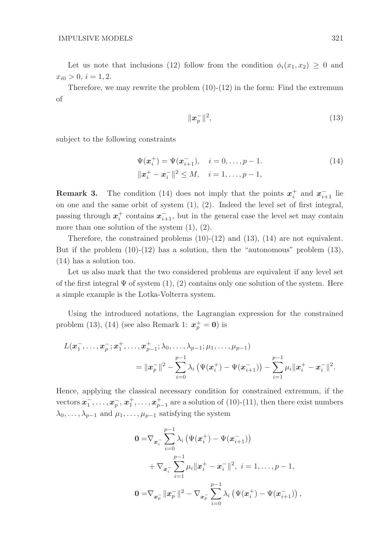Let us note that inclusions (12) follow from the condition  $\phi_i(x_1, x_2) \geq 0$  and  $x_{i0} > 0, i = 1, 2.$ 

Therefore, we may rewrite the problem  $(10)-(12)$  in the form: Find the extremum of

$$
\|\boldsymbol{x}_p^-\|^2,\tag{13}
$$

subject to the following constraints

$$
\Psi(\boldsymbol{x}_i^+) = \Psi(\boldsymbol{x}_{i+1}^-), \quad i = 0, \dots, p-1.
$$
\n
$$
\|\boldsymbol{x}_i^+ - \boldsymbol{x}_i^-\|^2 \le M, \quad i = 1, \dots, p-1,
$$
\n(14)

**Remark 3.** The condition (14) does not imply that the points  $x_i^+$  and  $x_{i+1}^-$  lie on one and the same orbit of system (1), (2). Indeed the level set of first integral, passing through  $x_i^+$  contains  $x_{i+1}^-$ , but in the general case the level set may contain more than one solution of the system (1), (2).

Therefore, the constrained problems  $(10)-(12)$  and  $(13)$ ,  $(14)$  are not equivalent. But if the problem  $(10)-(12)$  has a solution, then the "autonomous" problem  $(13)$ , (14) has a solution too.

Let us also mark that the two considered problems are equivalent if any level set of the first integral  $\Psi$  of system  $(1), (2)$  contains only one solution of the system. Here a simple example is the Lotka-Volterra system.

Using the introduced notations, the Lagrangian expression for the constrained problem (13), (14) (see also Remark 1:  $x_p^+ = 0$ ) is

$$
L(\boldsymbol{x}_1^-,\ldots,\boldsymbol{x}_p^-;\boldsymbol{x}_1^+,\ldots,\boldsymbol{x}_{p-1}^+;\lambda_0,\ldots,\lambda_{p-1};\mu_1,\ldots,\mu_{p-1})\\= \|\boldsymbol{x}_p^-\|^2 - \sum_{i=0}^{p-1} \lambda_i \left(\Psi(\boldsymbol{x}_i^+) - \Psi(\boldsymbol{x}_{i+1}^-)\right) - \sum_{i=1}^{p-1} \mu_i \|\boldsymbol{x}_i^+ - \boldsymbol{x}_i^-\|^2.
$$

Hence, applying the classical necessary condition for constrained extremum, if the vectors  $x_1^ \frac{1}{1}, \ldots, x_{p}^{-}, x_{1}^{+}, \ldots, x_{p-1}^{+}$  are a solution of (10)-(11), then there exist numbers  $\lambda_0, \ldots, \lambda_{p-1}$  and  $\mu_1, \ldots, \mu_{p-1}$  satisfying the system

$$
0 = \nabla_{\mathbf{x}_i^-} \sum_{i=0}^{p-1} \lambda_i \left( \Psi(\mathbf{x}_i^+) - \Psi(\mathbf{x}_{i+1}^-) \right)
$$
  
+ 
$$
\nabla_{\mathbf{x}_i^-} \sum_{i=1}^{p-1} \mu_i \|\mathbf{x}_i^+ - \mathbf{x}_i^-\|^2, \ i = 1, \dots, p-1,
$$
  

$$
0 = \nabla_{\mathbf{x}_p^-} \|\mathbf{x}_p^-\|^2 - \nabla_{\mathbf{x}_p^-} \sum_{i=0}^{p-1} \lambda_i \left( \Psi(\mathbf{x}_i^+) - \Psi(\mathbf{x}_{i+1}^-) \right),
$$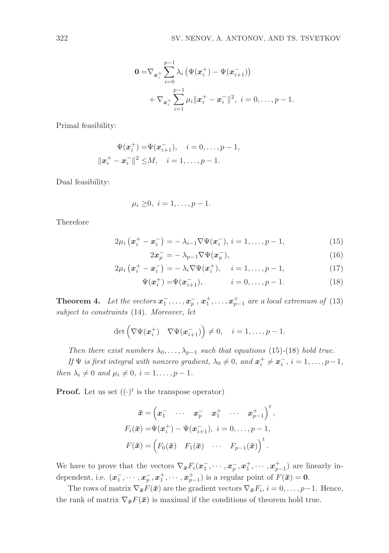$$
0 = \nabla_{\mathbf{x}_i^+} \sum_{i=0}^{p-1} \lambda_i \left( \Psi(\mathbf{x}_i^+) - \Psi(\mathbf{x}_{i+1}^-) \right) + \nabla_{\mathbf{x}_i^+} \sum_{i=1}^{p-1} \mu_i \|\mathbf{x}_i^+ - \mathbf{x}_i^-\|^2, \ i = 0, \dots, p-1.
$$

Primal feasibility:

$$
\Psi(\mathbf{x}_i^+) = \Psi(\mathbf{x}_{i+1}^-), \quad i = 0, \dots, p-1,
$$
  

$$
\|\mathbf{x}_i^+ - \mathbf{x}_i^-\|^2 \le M, \quad i = 1, \dots, p-1.
$$

Dual feasibility:

$$
\mu_i \geq 0, \quad i = 1, \ldots, p - 1.
$$

Therefore

$$
2\mu_i(\mathbf{x}_i^+ - \mathbf{x}_i^-) = -\lambda_{i-1} \nabla \Psi(\mathbf{x}_i^-), \, i = 1, \dots, p-1,\tag{15}
$$

$$
2x_p^- = -\lambda_{p-1} \nabla \Psi(x_p^-),\tag{16}
$$

$$
2\mu_i\left(\boldsymbol{x}_i^+ - \boldsymbol{x}_i^-\right) = -\lambda_i \nabla \Psi(\boldsymbol{x}_i^+), \quad i = 1, \ldots, p-1,
$$
\n(17)

$$
\Psi(\boldsymbol{x}_i^+) = \Psi(\boldsymbol{x}_{i+1}^-), \qquad i = 0, \dots, p-1.
$$
\n(18)

**Theorem 4.** Let the vectors  $x_1^ \overline{a}_1^-, \ldots, \overline{a}_p^-, \overline{x}_1^+, \ldots, \overline{x}_{p-1}^+$  are a local extremum of (13) subject to constraints (14). Moreover, let

$$
\det\begin{pmatrix} \nabla \Psi(\boldsymbol{x}_i^+) & \nabla \Psi(\boldsymbol{x}_{i+1}^-) \end{pmatrix} \neq 0, \quad i = 1, \ldots, p-1.
$$

Then there exist numbers  $\lambda_0, \ldots, \lambda_{p-1}$  such that equations (15)-(18) hold true.

If  $\Psi$  is first integral with nonzero gradient,  $\lambda_0 \neq 0$ , and  $x_i^+ \neq x_i^ \overline{i}$ ,  $i = 1, \ldots, p-1$ , then  $\lambda_i \neq 0$  and  $\mu_i \neq 0$ ,  $i = 1, \ldots, p - 1$ .

**Proof.** Let us set  $((\cdot)^t$  is the transpose operator)

$$
\bar{\boldsymbol{x}} = \left(\boldsymbol{x}_1^- \cdots \boldsymbol{x}_p^- \boldsymbol{x}_1^+ \cdots \boldsymbol{x}_{p-1}^+\right)^t,
$$
  
\n
$$
F_i(\bar{\boldsymbol{x}}) = \Psi(\boldsymbol{x}_i^+) - \Psi(\boldsymbol{x}_{i+1}^-), \quad i = 0, \ldots, p-1,
$$
  
\n
$$
F(\bar{\boldsymbol{x}}) = \left(F_0(\bar{\boldsymbol{x}}) \boldsymbol{F}_1(\bar{\boldsymbol{x}}) \cdots \boldsymbol{F}_{p-1}(\bar{\boldsymbol{x}})\right)^t.
$$

We have to prove that the vectors  $\nabla_{\bar{x}} F_i(\bar{x}_1)$  $\frac{1}{1}, \cdots, x_{p}^{-}, x_{1}^{+}, \cdots, x_{p-1}^{+}$  are linearly independent, i.e.  $(x_1^-)$  $\frac{1}{1}, \cdots, x_{p}^{-}, x_{1}^{+}, \cdots, x_{p-1}^{+}$  is a regular point of  $F(\bar{x}) = 0$ .

The rows of matrix  $\nabla_{\bar{x}} F(\bar{x})$  are the gradient vectors  $\nabla_{\bar{x}} F_i$ ,  $i = 0, \ldots, p-1$ . Hence, the rank of matrix  $\nabla_{\bar{x}}F(\bar{x})$  is maximal if the conditions of theorem hold true.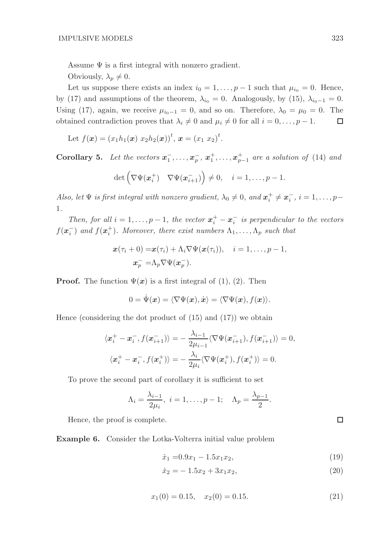Assume  $\Psi$  is a first integral with nonzero gradient.

Obviously,  $\lambda_p \neq 0$ .

Let us suppose there exists an index  $i_0 = 1, \ldots, p-1$  such that  $\mu_{i_0} = 0$ . Hence, by (17) and assumptions of the theorem,  $\lambda_{i_0} = 0$ . Analogously, by (15),  $\lambda_{i_0-1} = 0$ . Using (17), again, we receive  $\mu_{i_0-1} = 0$ , and so on. Therefore,  $\lambda_0 = \mu_0 = 0$ . The obtained contradiction proves that  $\lambda_i \neq 0$  and  $\mu_i \neq 0$  for all  $i = 0, \ldots, p - 1$ . □

Let 
$$
f(\mathbf{x}) = (x_1 h_1(\mathbf{x}) x_2 h_2(\mathbf{x}))^t
$$
,  $\mathbf{x} = (x_1 x_2)^t$ .

Corollary 5. Let the vectors  $x_1^ \overline{a}_1^-, \ldots, \overline{a}_p^-, \overline{a}_1^+, \ldots, \overline{a}_{p-1}^+$  are a solution of (14) and

$$
\det\begin{pmatrix} \nabla \Psi(\boldsymbol{x}_i^+) & \nabla \Psi(\boldsymbol{x}_{i+1}^-) \end{pmatrix} \neq 0, \quad i = 1, \ldots, p-1.
$$

Also, let  $\Psi$  is first integral with nonzero gradient,  $\lambda_0 \neq 0$ , and  $\boldsymbol{x}_i^+ \neq \boldsymbol{x}_i^ \overline{i}$ ,  $i = 1, \ldots, p-$ 1.

Then, for all  $i = 1, \ldots, p - 1$ , the vector  $\mathbf{x}_i^+ - \mathbf{x}_i^ \overline{i}$  is perpendicular to the vectors  $f(\boldsymbol{x}_i^-)$  $\binom{1}{i}$  and  $f(\boldsymbol{x}_i^+)$ . Moreover, there exist numbers  $\Lambda_1, \ldots, \Lambda_p$  such that

$$
\mathbf{x}(\tau_i+0)=\mathbf{x}(\tau_i)+\Lambda_i\nabla\Psi(\mathbf{x}(\tau_i)), \quad i=1,\ldots,p-1,
$$
  

$$
\mathbf{x}_p^{-}=\Lambda_p\nabla\Psi(\mathbf{x}_p^{-}).
$$

**Proof.** The function  $\Psi(x)$  is a first integral of (1), (2). Then

$$
0 = \dot{\Psi}(\mathbf{x}) = \langle \nabla \Psi(\mathbf{x}), \dot{\mathbf{x}} \rangle = \langle \nabla \Psi(\mathbf{x}), f(\mathbf{x}) \rangle.
$$

Hence (considering the dot product of (15) and (17)) we obtain

$$
\langle \boldsymbol{x}_i^+ - \boldsymbol{x}_i^-, f(\boldsymbol{x}_{i+1}^-) \rangle = -\frac{\lambda_{i-1}}{2\mu_{i-1}} \langle \nabla \Psi(\boldsymbol{x}_{i+1}^-), f(\boldsymbol{x}_{i+1}^-) \rangle = 0,
$$
  

$$
\langle \boldsymbol{x}_i^+ - \boldsymbol{x}_i^-, f(\boldsymbol{x}_i^+) \rangle = -\frac{\lambda_i}{2\mu_i} \langle \nabla \Psi(\boldsymbol{x}_i^+), f(\boldsymbol{x}_i^+) \rangle = 0.
$$

To prove the second part of corollary it is sufficient to set

$$
\Lambda_i = \frac{\lambda_{i-1}}{2\mu_i}, \ i = 1, \dots, p-1; \quad \Lambda_p = \frac{\lambda_{p-1}}{2}.
$$

Hence, the proof is complete.

Example 6. Consider the Lotka-Volterra initial value problem

$$
\dot{x}_1 = 0.9x_1 - 1.5x_1x_2,\tag{19}
$$

$$
\dot{x}_2 = -1.5x_2 + 3x_1x_2,\tag{20}
$$

$$
x_1(0) = 0.15, \quad x_2(0) = 0.15. \tag{21}
$$

 $\Box$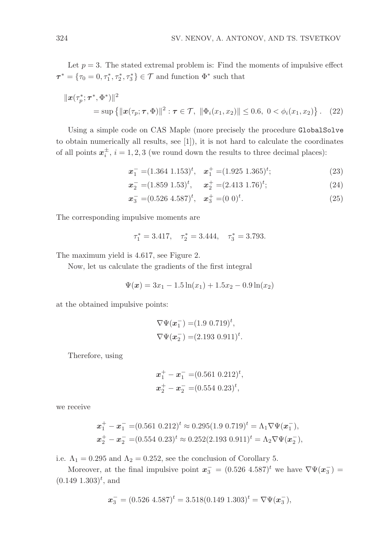Let  $p = 3$ . The stated extremal problem is: Find the moments of impulsive effect  $\tau^* = \{\tau_0 = 0, \tau_1^*, \tau_2^*, \tau_3^*\} \in \mathcal{T}$  and function  $\Phi^*$  such that

$$
\|\boldsymbol{x}(\tau_p^*; \boldsymbol{\tau}^*, \Phi^*)\|^2 = \sup \{ \|\boldsymbol{x}(\tau_p; \boldsymbol{\tau}, \Phi)\|^2 : \boldsymbol{\tau} \in \mathcal{T}, \ \|\Phi_i(x_1, x_2)\| \le 0.6, \ 0 < \phi_i(x_1, x_2) \} \,. \tag{22}
$$

Using a simple code on CAS Maple (more precisely the procedure GlobalSolve to obtain numerically all results, see [1]), it is not hard to calculate the coordinates of all points  $x_i^{\pm}$  $_i^{\pm}$ ,  $i = 1, 2, 3$  (we round down the results to three decimal places):

$$
\boldsymbol{x}_1^- = (1.364 \; 1.153)^t, \quad \boldsymbol{x}_1^+ = (1.925 \; 1.365)^t; \tag{23}
$$

$$
x_2^- = (1.859 \ 1.53)^t, \quad x_2^+ = (2.413 \ 1.76)^t; \tag{24}
$$

$$
x_3^- = (0.526 \ 4.587)^t, \quad x_3^+ = (0 \ 0)^t. \tag{25}
$$

The corresponding impulsive moments are

$$
\tau_1^* = 3.417, \quad \tau_2^* = 3.444, \quad \tau_3^* = 3.793.
$$

The maximum yield is 4.617, see Figure 2.

Now, let us calculate the gradients of the first integral

$$
\Psi(x) = 3x_1 - 1.5\ln(x_1) + 1.5x_2 - 0.9\ln(x_2)
$$

at the obtained impulsive points:

$$
\nabla \Psi(\mathbf{x}_1^-) = (1.9 \ 0.719)^t,
$$
  

$$
\nabla \Psi(\mathbf{x}_2^-) = (2.193 \ 0.911)^t.
$$

Therefore, using

$$
x_1^+ - x_1^- = (0.561 \ 0.212)^t,
$$
  

$$
x_2^+ - x_2^- = (0.554 \ 0.23)^t,
$$

we receive

$$
\begin{aligned} \n\boldsymbol{x}_1^+ - \boldsymbol{x}_1^- &= (0.561 \ 0.212)^t \approx 0.295(1.9 \ 0.719)^t = \Lambda_1 \nabla \Psi(\boldsymbol{x}_1^-),\\ \n\boldsymbol{x}_2^+ - \boldsymbol{x}_2^- &= (0.554 \ 0.23)^t \approx 0.252(2.193 \ 0.911)^t = \Lambda_2 \nabla \Psi(\boldsymbol{x}_2^-), \n\end{aligned}
$$

i.e.  $\Lambda_1 = 0.295$  and  $\Lambda_2 = 0.252$ , see the conclusion of Corollary 5.

Moreover, at the final impulsive point  $x_3^- = (0.526 \; 4.587)^t$  we have  $\nabla \Psi(x_3^-)$  $_{3}^{-}$ ) =  $(0.149 \; 1.303)^t$ , and

$$
x_3^- = (0.526 \; 4.587)^t = 3.518(0.149 \; 1.303)^t = \nabla \Psi(x_3^-),
$$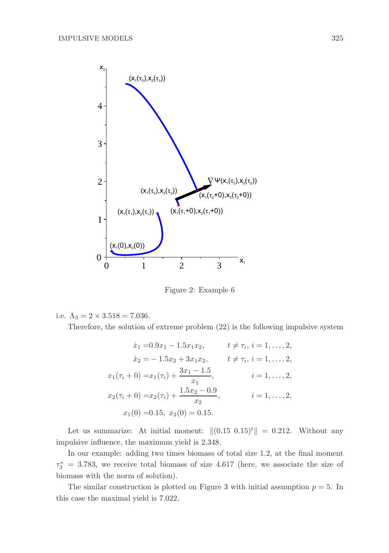

Figure 2: Example 6

i.e. 
$$
\Lambda_3 = 2 \times 3.518 = 7.036
$$
.

Therefore, the solution of extreme problem (22) is the following impulsive system

$$
\begin{aligned}\n\dot{x}_1 &= 0.9x_1 - 1.5x_1x_2, & t \neq \tau_i, \, i = 1, \dots, 2, \\
\dot{x}_2 &= -1.5x_2 + 3x_1x_2, & t \neq \tau_i, \, i = 1, \dots, 2, \\
x_1(\tau_i + 0) &= x_1(\tau_i) + \frac{3x_1 - 1.5}{x_1}, & i = 1, \dots, 2, \\
x_2(\tau_i + 0) &= x_2(\tau_i) + \frac{1.5x_2 - 0.9}{x_2}, & i = 1, \dots, 2, \\
x_1(0) &= 0.15, \, x_2(0) = 0.15.\n\end{aligned}
$$

Let us summarize: At initial moment:  $||(0.15 \t0.15)^t|| = 0.212$ . Without any impulsive influence, the maximum yield is 2.348.

In our example: adding two times biomass of total size 1.2, at the final moment  $\tau_3^* = 3.783$ , we receive total biomass of size 4.617 (here, we associate the size of biomass with the norm of solution).

The similar construction is plotted on Figure 3 with initial assumption  $p = 5$ . In this case the maximal yield is 7.022.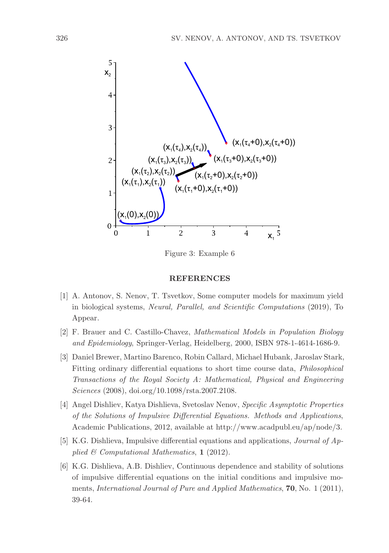

Figure 3: Example 6

#### REFERENCES

- [1] A. Antonov, S. Nenov, T. Tsvetkov, Some computer models for maximum yield in biological systems, Neural, Parallel, and Scientific Computations (2019), To Appear.
- [2] F. Brauer and C. Castillo-Chavez, Mathematical Models in Population Biology and Epidemiology, Springer-Verlag, Heidelberg, 2000, ISBN 978-1-4614-1686-9.
- [3] Daniel Brewer, Martino Barenco, Robin Callard, Michael Hubank, Jaroslav Stark, Fitting ordinary differential equations to short time course data, Philosophical Transactions of the Royal Society A: Mathematical, Physical and Engineering Sciences (2008), doi.org/10.1098/rsta.2007.2108.
- [4] Angel Dishliev, Katya Dishlieva, Svetoslav Nenov, Specific Asymptotic Properties of the Solutions of Impulsive Differential Equations. Methods and Applications, Academic Publications, 2012, available at http://www.acadpubl.eu/ap/node/3.
- [5] K.G. Dishlieva, Impulsive differential equations and applications, Journal of Applied  $\mathcal C$  Computational Mathematics, 1 (2012).
- [6] K.G. Dishlieva, A.B. Dishliev, Continuous dependence and stability of solutions of impulsive differential equations on the initial conditions and impulsive moments, International Journal of Pure and Applied Mathematics, 70, No. 1 (2011), 39-64.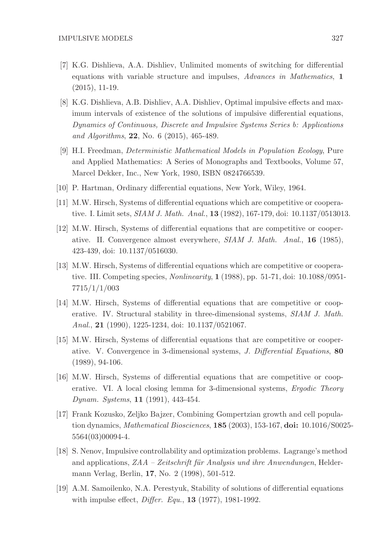- [7] K.G. Dishlieva, A.A. Dishliev, Unlimited moments of switching for differential equations with variable structure and impulses, Advances in Mathematics, 1 (2015), 11-19.
- [8] K.G. Dishlieva, A.B. Dishliev, A.A. Dishliev, Optimal impulsive effects and maximum intervals of existence of the solutions of impulsive differential equations, Dynamics of Continuous, Discrete and Impulsive Systems Series b: Applications and Algorithms, 22, No. 6 (2015), 465-489.
- [9] H.I. Freedman, Deterministic Mathematical Models in Population Ecology, Pure and Applied Mathematics: A Series of Monographs and Textbooks, Volume 57, Marcel Dekker, Inc., New York, 1980, ISBN 0824766539.
- [10] P. Hartman, Ordinary differential equations, New York, Wiley, 1964.
- [11] M.W. Hirsch, Systems of differential equations which are competitive or cooperative. I. Limit sets, SIAM J. Math. Anal., 13 (1982), 167-179, doi: 10.1137/0513013.
- [12] M.W. Hirsch, Systems of differential equations that are competitive or cooperative. II. Convergence almost everywhere, SIAM J. Math. Anal., 16 (1985), 423-439, doi: 10.1137/0516030.
- [13] M.W. Hirsch, Systems of differential equations which are competitive or cooperative. III. Competing species, Nonlinearity, 1 (1988), pp. 51-71, doi: 10.1088/0951- 7715/1/1/003
- [14] M.W. Hirsch, Systems of differential equations that are competitive or cooperative. IV. Structural stability in three-dimensional systems, SIAM J. Math. Anal., 21 (1990), 1225-1234, doi: 10.1137/0521067.
- [15] M.W. Hirsch, Systems of differential equations that are competitive or cooperative. V. Convergence in 3-dimensional systems, J. Differential Equations, 80 (1989), 94-106.
- [16] M.W. Hirsch, Systems of differential equations that are competitive or cooperative. VI. A local closing lemma for 3-dimensional systems, Ergodic Theory Dynam. Systems, 11 (1991), 443-454.
- [17] Frank Kozusko, Zeljko Bajzer, Combining Gompertzian growth and cell population dynamics, Mathematical Biosciences, 185 (2003), 153-167, doi: 10.1016/S0025- 5564(03)00094-4.
- [18] S. Nenov, Impulsive controllability and optimization problems. Lagrange's method and applications,  $ZAA - Zeitschrift für Analysis und ihre Anwendungen, Helder$ mann Verlag, Berlin, 17, No. 2 (1998), 501-512.
- [19] A.M. Samoilenko, N.A. Perestyuk, Stability of solutions of differential equations with impulse effect, *Differ. Equ.*, **13** (1977), 1981-1992.